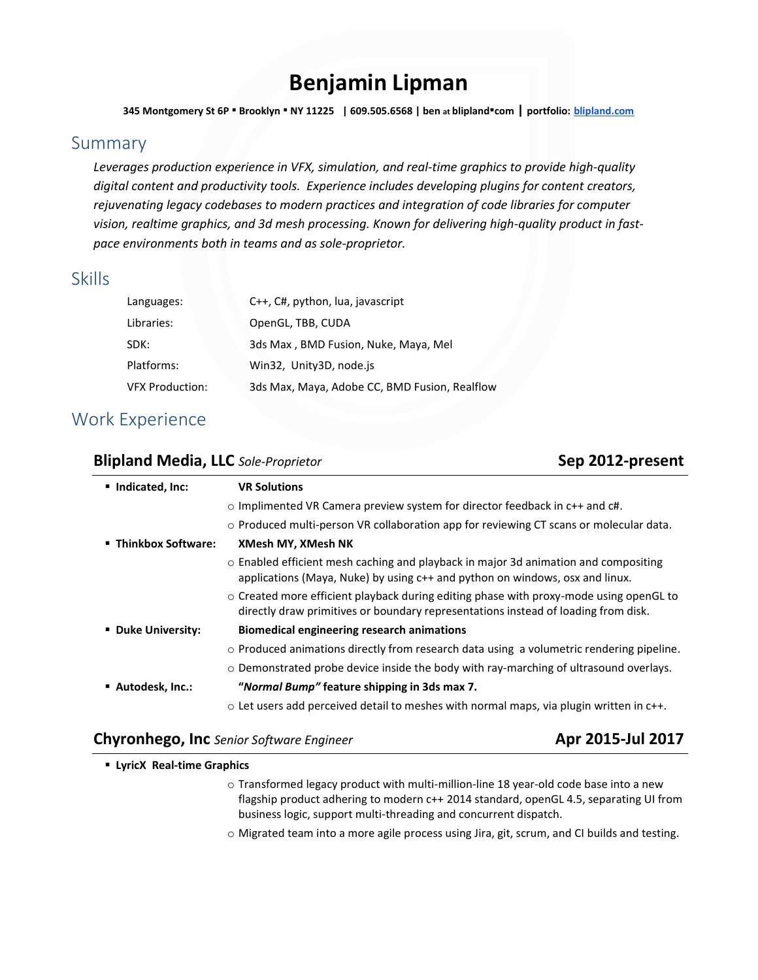# **Benjamin Lipman**

**345 Montgomery St 6P** ▪ **Brooklyn** ▪ **NY 11225 | 609.505.6568 | ben at blipland**▪**com | portfolio: [blipland.com](http://blipland.com/)**

### Summary

*Leverages production experience in VFX, simulation, and real-time graphics to provide high-quality digital content and productivity tools. Experience includes developing plugins for content creators, rejuvenating legacy codebases to modern practices and integration of code libraries for computer vision, realtime graphics, and 3d mesh processing. Known for delivering high-quality product in fastpace environments both in teams and as sole-proprietor.*

### Skills

| Languages:             | C++, C#, python, lua, javascript              |
|------------------------|-----------------------------------------------|
| Libraries:             | OpenGL, TBB, CUDA                             |
| SDK:                   | 3ds Max, BMD Fusion, Nuke, Maya, Mel          |
| Platforms:             | Win32, Unity3D, node.js                       |
| <b>VFX Production:</b> | 3ds Max, Maya, Adobe CC, BMD Fusion, Realflow |

# Work Experience

### **Blipland Media, LLC** *Sole-Proprietor* **Sep 2012-present**

| ■ Indicated, Inc:    | <b>VR Solutions</b>                                                                                                                                                                |
|----------------------|------------------------------------------------------------------------------------------------------------------------------------------------------------------------------------|
|                      | $\circ$ Implimented VR Camera preview system for director feedback in c++ and c#.                                                                                                  |
|                      | o Produced multi-person VR collaboration app for reviewing CT scans or molecular data.                                                                                             |
| ■ Thinkbox Software: | <b>XMesh MY, XMesh NK</b>                                                                                                                                                          |
|                      | ○ Enabled efficient mesh caching and playback in major 3d animation and compositing<br>applications (Maya, Nuke) by using c++ and python on windows, osx and linux.                |
|                      | $\circ$ Created more efficient playback during editing phase with proxy-mode using openGL to<br>directly draw primitives or boundary representations instead of loading from disk. |
| ■ Duke University:   | Biomedical engineering research animations                                                                                                                                         |
|                      | o Produced animations directly from research data using a volumetric rendering pipeline.                                                                                           |
|                      | $\circ$ Demonstrated probe device inside the body with ray-marching of ultrasound overlays.                                                                                        |
| ■ Autodesk, Inc.:    | "Normal Bump" feature shipping in 3ds max 7.                                                                                                                                       |
|                      | $\circ$ Let users add perceived detail to meshes with normal maps, via plugin written in c++.                                                                                      |

### **Chyronhego, Inc** *Senior Software Engineer* **Apr 2015-Jul 2017**

- **LyricX Real-time Graphics**
	- $\circ$  Transformed legacy product with multi-million-line 18 year-old code base into a new flagship product adhering to modern c++ 2014 standard, openGL 4.5, separating UI from business logic, support multi-threading and concurrent dispatch.
	- o Migrated team into a more agile process using Jira, git, scrum, and CI builds and testing.